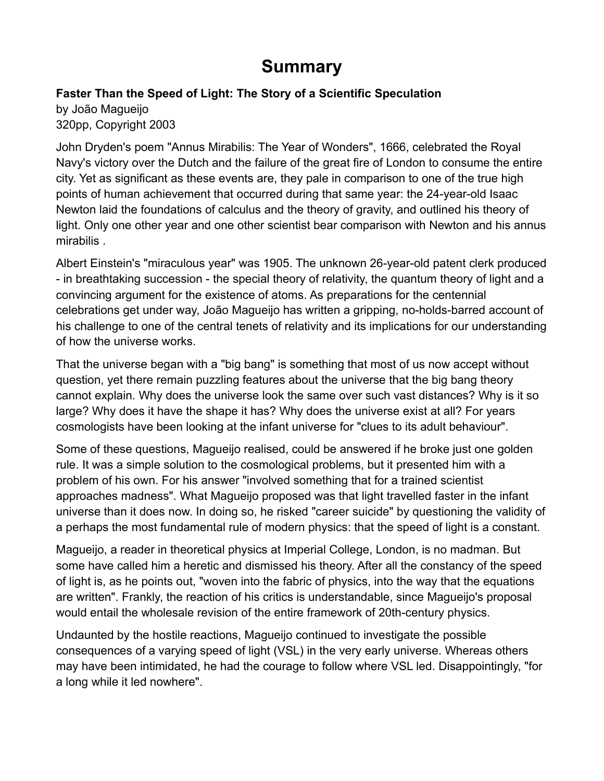## **Summary**

## **Faster Than the Speed of Light: The Story of a Scientific Speculation**

by João Magueijo 320pp, Copyright 2003

John Dryden's poem "Annus Mirabilis: The Year of Wonders", 1666, celebrated the Royal Navy's victory over the Dutch and the failure of the great fire of London to consume the entire city. Yet as significant as these events are, they pale in comparison to one of the true high points of human achievement that occurred during that same year: the 24-year-old Isaac Newton laid the foundations of calculus and the theory of gravity, and outlined his theory of light. Only one other year and one other scientist bear comparison with Newton and his annus mirabilis .

Albert Einstein's "miraculous year" was 1905. The unknown 26-year-old patent clerk produced - in breathtaking succession - the special theory of relativity, the quantum theory of light and a convincing argument for the existence of atoms. As preparations for the centennial celebrations get under way, João Magueijo has written a gripping, no-holds-barred account of his challenge to one of the central tenets of relativity and its implications for our understanding of how the universe works.

That the universe began with a "big bang" is something that most of us now accept without question, yet there remain puzzling features about the universe that the big bang theory cannot explain. Why does the universe look the same over such vast distances? Why is it so large? Why does it have the shape it has? Why does the universe exist at all? For years cosmologists have been looking at the infant universe for "clues to its adult behaviour".

Some of these questions, Magueijo realised, could be answered if he broke just one golden rule. It was a simple solution to the cosmological problems, but it presented him with a problem of his own. For his answer "involved something that for a trained scientist approaches madness". What Magueijo proposed was that light travelled faster in the infant universe than it does now. In doing so, he risked "career suicide" by questioning the validity of a perhaps the most fundamental rule of modern physics: that the speed of light is a constant.

Magueijo, a reader in theoretical physics at Imperial College, London, is no madman. But some have called him a heretic and dismissed his theory. After all the constancy of the speed of light is, as he points out, "woven into the fabric of physics, into the way that the equations are written". Frankly, the reaction of his critics is understandable, since Magueijo's proposal would entail the wholesale revision of the entire framework of 20th-century physics.

Undaunted by the hostile reactions, Magueijo continued to investigate the possible consequences of a varying speed of light (VSL) in the very early universe. Whereas others may have been intimidated, he had the courage to follow where VSL led. Disappointingly, "for a long while it led nowhere".